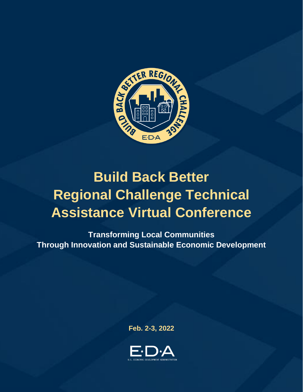

# **Build Back Better Regional Challenge Technical Assistance Virtual Conference**

**Transforming Local Communities Through Innovation and Sustainable Economic Development**

**Feb. 2-3, 2022**

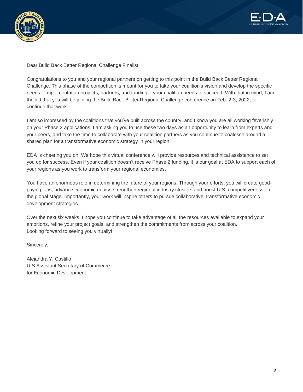



Dear Build Back Better Regional Challenge Finalist:

Congratulations to you and your regional partners on getting to this point in the Build Back Better Regional Challenge. This phase of the competition is meant for you to take your coalition's vision and develop the specific needs – implementation projects, partners, and funding – your coalition needs to succeed. With that in mind, I am thrilled that you will be joining the Build Back Better Regional Challenge conference on Feb. 2-3, 2022, to continue that work.

I am so impressed by the coalitions that you've built across the country, and I know you are all working feverishly on your Phase 2 applications. I am asking you to use these two days as an opportunity to learn from experts and your peers, and take the time to collaborate with your coalition partners as you continue to coalesce around a shared plan for a transformative economic strategy in your region.

EDA is cheering you on! We hope this virtual conference will provide resources and technical assistance to set you up for success. Even if your coalition doesn't receive Phase 2 funding, it is our goal at EDA to support each of your regions as you work to transform your regional economies.

You have an enormous role in determining the future of your regions. Through your efforts, you will create goodpaying jobs, advance economic equity, strengthen regional industry clusters and boost U.S. competitiveness on the global stage. Importantly, your work will inspire others to pursue collaborative, transformative economic development strategies.

Over the next six weeks, I hope you continue to take advantage of all the resources available to expand your ambitions, refine your project goals, and strengthen the commitments from across your coalition. Looking forward to seeing you virtually!

Sincerely,

Alejandra Y. Castillo U.S Assistant Secretary of Commerce for Economic Development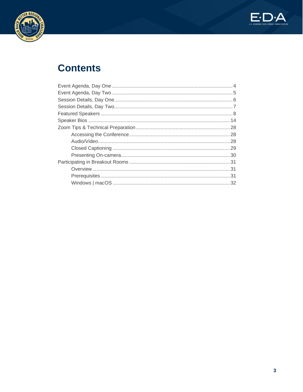



## **Contents**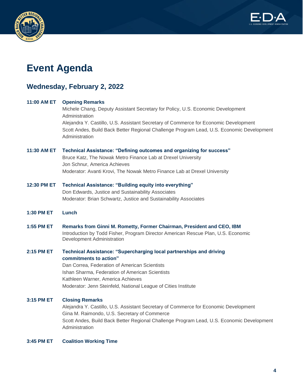



## **Event Agenda**

#### **Wednesday, February 2, 2022**

#### **11:00 AM ET Opening Remarks**

Michele Chang, Deputy Assistant Secretary for Policy, U.S. Economic Development **Administration** 

Alejandra Y. Castillo, U.S. Assistant Secretary of Commerce for Economic Development Scott Andes, Build Back Better Regional Challenge Program Lead, U.S. Economic Development **Administration** 

#### **11:30 AM ET Technical Assistance: "Defining outcomes and organizing for success"**

Bruce Katz, The Nowak Metro Finance Lab at Drexel University Jon Schnur, America Achieves Moderator: Avanti Krovi, The Nowak Metro Finance Lab at Drexel University

#### **12:30 PM ET Technical Assistance: "Building equity into everything"**

Don Edwards, Justice and Sustainability Associates Moderator: Brian Schwartz, Justice and Sustainability Associates

- **1:30 PM ET Lunch**
- **1:55 PM ET Remarks from Ginni M. Rometty, Former Chairman, President and CEO, IBM** Introduction by Todd Fisher, Program Director American Rescue Plan, U.S. Economic Development Administration

#### **2:15 PM ET Technical Assistance: "Supercharging local partnerships and driving commitments to action"**

Dan Correa, Federation of American Scientists Ishan Sharma, Federation of American Scientists Kathleen Warner, America Achieves Moderator: Jenn Steinfeld, National League of Cities Institute

#### **3:15 PM ET Closing Remarks**

Alejandra Y. Castillo, U.S. Assistant Secretary of Commerce for Economic Development Gina M. Raimondo, U.S. Secretary of Commerce Scott Andes, Build Back Better Regional Challenge Program Lead, U.S. Economic Development **Administration** 

#### **3:45 PM ET Coalition Working Time**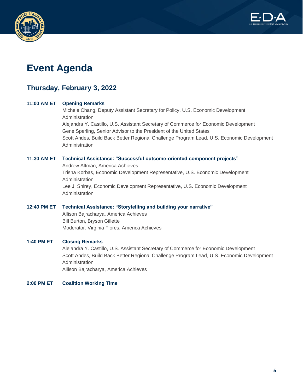



## **Event Agenda**

## **Thursday, February 3, 2022**

#### **11:00 AM ET Opening Remarks**

Michele Chang, Deputy Assistant Secretary for Policy, U.S. Economic Development Administration Alejandra Y. Castillo, U.S. Assistant Secretary of Commerce for Economic Development Gene Sperling, Senior Advisor to the President of the United States Scott Andes, Build Back Better Regional Challenge Program Lead, U.S. Economic Development **Administration** 

#### **11:30 AM ET Technical Assistance: "Successful outcome-oriented component projects"**

Andrew Altman, America Achieves Trisha Korbas, Economic Development Representative, U.S. Economic Development Administration Lee J. Shirey, Economic Development Representative, U.S. Economic Development **Administration** 

#### **12:40 PM ET Technical Assistance: "Storytelling and building your narrative"**

Allison Bajracharya, America Achieves Bill Burton, Bryson Gillette Moderator: Virginia Flores, America Achieves

#### **1:40 PM ET Closing Remarks**

Alejandra Y. Castillo, U.S. Assistant Secretary of Commerce for Economic Development Scott Andes, Build Back Better Regional Challenge Program Lead, U.S. Economic Development Administration Allison Bajracharya, America Achieves

#### **2:00 PM ET Coalition Working Time**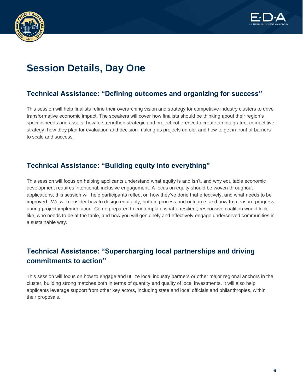



## **Session Details, Day One**

### **Technical Assistance: "Defining outcomes and organizing for success"**

This session will help finalists refine their overarching vision and strategy for competitive industry clusters to drive transformative economic impact. The speakers will cover how finalists should be thinking about their region's specific needs and assets; how to strengthen strategic and project coherence to create an integrated, competitive strategy; how they plan for evaluation and decision-making as projects unfold; and how to get in front of barriers to scale and success.

### **Technical Assistance: "Building equity into everything"**

This session will focus on helping applicants understand what equity is and isn't, and why equitable economic development requires intentional, inclusive engagement. A focus on equity should be woven throughout applications; this session will help participants reflect on how they've done that effectively, and what needs to be improved. We will consider how to design equitably, both in process and outcome, and how to measure progress during project implementation. Come prepared to contemplate what a resilient, responsive coalition would look like, who needs to be at the table, and how you will genuinely and effectively engage underserved communities in a sustainable way.

## **Technical Assistance: "Supercharging local partnerships and driving commitments to action"**

This session will focus on how to engage and utilize local industry partners or other major regional anchors in the cluster, building strong matches both in terms of quantity and quality of local investments. It will also help applicants leverage support from other key actors, including state and local officials and philanthropies, within their proposals.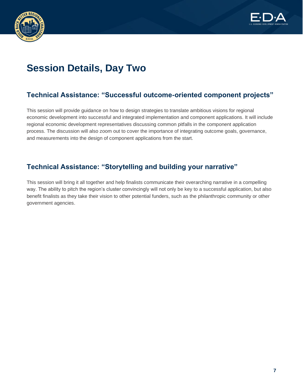



## **Session Details, Day Two**

### **Technical Assistance: "Successful outcome-oriented component projects"**

This session will provide guidance on how to design strategies to translate ambitious visions for regional economic development into successful and integrated implementation and component applications. It will include regional economic development representatives discussing common pitfalls in the component application process. The discussion will also zoom out to cover the importance of integrating outcome goals, governance, and measurements into the design of component applications from the start.

### **Technical Assistance: "Storytelling and building your narrative"**

This session will bring it all together and help finalists communicate their overarching narrative in a compelling way. The ability to pitch the region's cluster convincingly will not only be key to a successful application, but also benefit finalists as they take their vision to other potential funders, such as the philanthropic community or other government agencies.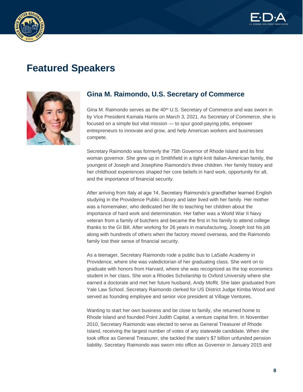



## **Featured Speakers**



#### **Gina M. Raimondo, U.S. Secretary of Commerce**

Gina M. Raimondo serves as the 40<sup>th</sup> U.S. Secretary of Commerce and was sworn in by Vice President Kamala Harris on March 3, 2021. As Secretary of Commerce, she is focused on a simple but vital mission — to spur good-paying jobs, empower entrepreneurs to innovate and grow, and help American workers and businesses compete.

Secretary Raimondo was formerly the 75th Governor of Rhode Island and its first woman governor. She grew up in Smithfield in a tight-knit Italian-American family, the youngest of Joseph and Josephine Raimondo's three children. Her family history and her childhood experiences shaped her core beliefs in hard work, opportunity for all, and the importance of financial security.

After arriving from Italy at age 14, Secretary Raimondo's grandfather learned English studying in the Providence Public Library and later lived with her family. Her mother was a homemaker, who dedicated her life to teaching her children about the importance of hard work and determination. Her father was a World War II Navy veteran from a family of butchers and became the first in his family to attend college thanks to the GI Bill. After working for 26 years in manufacturing, Joseph lost his job along with hundreds of others when the factory moved overseas, and the Raimondo family lost their sense of financial security.

As a teenager, Secretary Raimondo rode a public bus to LaSalle Academy in Providence, where she was valedictorian of her graduating class. She went on to graduate with honors from Harvard, where she was recognized as the top economics student in her class. She won a Rhodes Scholarship to Oxford University where she earned a doctorate and met her future husband, Andy Moffit. She later graduated from Yale Law School. Secretary Raimondo clerked for US District Judge Kimba Wood and served as founding employee and senior vice president at Village Ventures.

Wanting to start her own business and be close to family, she returned home to Rhode Island and founded Point Judith Capital, a venture capital firm. In November 2010, Secretary Raimondo was elected to serve as General Treasurer of Rhode Island, receiving the largest number of votes of any statewide candidate. When she took office as General Treasurer, she tackled the state's \$7 billion unfunded pension liability. Secretary Raimondo was sworn into office as Governor in January 2015 and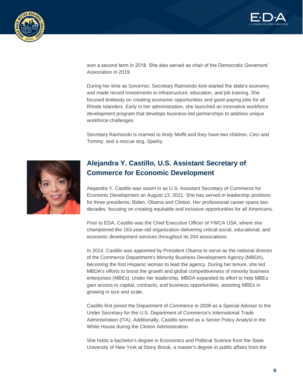



won a second term in 2018. She also served as chair of the Democratic Governors' Association in 2019.

During her time as Governor, Secretary Raimondo kick-started the state's economy and made record investments in infrastructure, education, and job training. She focused tirelessly on creating economic opportunities and good-paying jobs for all Rhode Islanders. Early in her administration, she launched an innovative workforce development program that develops business-led partnerships to address unique workforce challenges.

Secretary Raimondo is married to Andy Moffit and they have two children, Ceci and Tommy, and a rescue dog, Sparky.



## **Alejandra Y. Castillo, U.S. Assistant Secretary of Commerce for Economic Development**

Alejandra Y. Castillo was sworn in as U.S. Assistant Secretary of Commerce for Economic Development on August 13, 2021. She has served in leadership positions for three presidents: Biden, Obama and Clinton. Her professional career spans two decades, focusing on creating equitable and inclusive opportunities for all Americans.

Prior to EDA, Castillo was the Chief Executive Officer of YWCA USA, where she championed the 163-year-old organization delivering critical social, educational, and economic development services throughout its 204 associations.

In 2014, Castillo was appointed by President Obama to serve as the national director of the Commerce Department's Minority Business Development Agency (MBDA), becoming the first Hispanic woman to lead the agency. During her tenure, she led MBDA's efforts to boost the growth and global competitiveness of minority business enterprises (MBEs). Under her leadership, MBDA expanded its effort to help MBEs gain access to capital, contracts, and business opportunities, assisting MBEs in growing in size and scale.

Castillo first joined the Department of Commerce in 2008 as a Special Advisor to the Under Secretary for the U.S. Department of Commerce's International Trade Administration (ITA). Additionally, Castillo served as a Senior Policy Analyst in the White House during the Clinton Administration.

She holds a bachelor's degree in Economics and Political Science from the State University of New York at Stony Brook, a master's degree in public affairs from the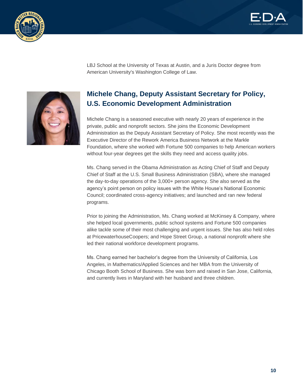



LBJ School at the University of Texas at Austin, and a Juris Doctor degree from American University's Washington College of Law.



## **Michele Chang, Deputy Assistant Secretary for Policy, U.S. Economic Development Administration**

Michele Chang is a seasoned executive with nearly 20 years of experience in the private, public and nonprofit sectors. She joins the Economic Development Administration as the Deputy Assistant Secretary of Policy. She most recently was the Executive Director of the Rework America Business Network at the Markle Foundation, where she worked with Fortune 500 companies to help American workers without four-year degrees get the skills they need and access quality jobs.

Ms. Chang served in the Obama Administration as Acting Chief of Staff and Deputy Chief of Staff at the U.S. Small Business Administration (SBA), where she managed the day-to-day operations of the 3,000+ person agency. She also served as the agency's point person on policy issues with the White House's National Economic Council; coordinated cross-agency initiatives; and launched and ran new federal programs.

Prior to joining the Administration, Ms. Chang worked at McKinsey & Company, where she helped local governments, public school systems and Fortune 500 companies alike tackle some of their most challenging and urgent issues. She has also held roles at PricewaterhouseCoopers; and Hope Street Group, a national nonprofit where she led their national workforce development programs.

Ms. Chang earned her bachelor's degree from the University of California, Los Angeles, in Mathematics/Applied Sciences and her MBA from the University of Chicago Booth School of Business. She was born and raised in San Jose, California, and currently lives in Maryland with her husband and three children.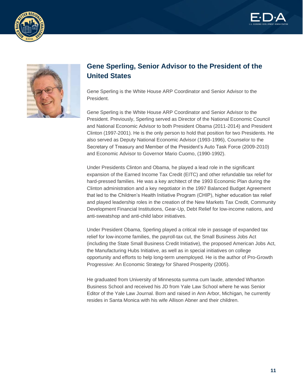





### **Gene Sperling, Senior Advisor to the President of the United States**

Gene Sperling is the White House ARP Coordinator and Senior Advisor to the President.

Gene Sperling is the White House ARP Coordinator and Senior Advisor to the President. Previously, Sperling served as Director of the National Economic Council and National Economic Advisor to both President Obama (2011-2014) and President Clinton (1997-2001). He is the only person to hold that position for two Presidents. He also served as Deputy National Economic Advisor (1993-1996), Counselor to the Secretary of Treasury and Member of the President's Auto Task Force (2009-2010) and Economic Advisor to Governor Mario Cuomo, (1990-1992).

Under Presidents Clinton and Obama, he played a lead role in the significant expansion of the Earned Income Tax Credit (EITC) and other refundable tax relief for hard-pressed families. He was a key architect of the 1993 Economic Plan during the Clinton administration and a key negotiator in the 1997 Balanced Budget Agreement that led to the Children's Health Initiative Program (CHIP), higher education tax relief and played leadership roles in the creation of the New Markets Tax Credit, Community Development Financial Institutions, Gear-Up, Debt Relief for low-income nations, and anti-sweatshop and anti-child labor initiatives.

Under President Obama, Sperling played a critical role in passage of expanded tax relief for low-income families, the payroll-tax cut, the Small Business Jobs Act (including the State Small Business Credit Initiative), the proposed American Jobs Act, the Manufacturing Hubs Initiative, as well as in special initiatives on college opportunity and efforts to help long-term unemployed. He is the author of Pro-Growth Progressive: An Economic Strategy for Shared Prosperity (2005).

He graduated from University of Minnesota summa cum laude, attended Wharton Business School and received his JD from Yale Law School where he was Senior Editor of the Yale Law Journal. Born and raised in Ann Arbor, Michigan, he currently resides in Santa Monica with his wife Allison Abner and their children.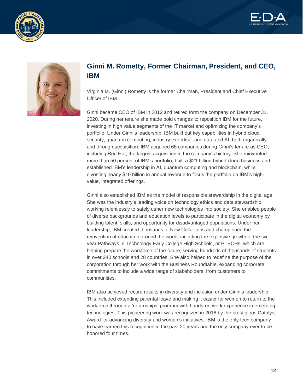





## **Ginni M. Rometty, Former Chairman, President, and CEO, IBM**

Virginia M. (Ginni) Rometty is the former Chairman, President and Chief Executive Officer of IBM.

Ginni became CEO of IBM in 2012 and retired form the company on December 31, 2020. During her tenure she made bold changes to reposition IBM for the future, investing in high value segments of the IT market and optimizing the company's portfolio. Under Ginni's leadership, IBM built out key capabilities in hybrid cloud, security, quantum computing, industry expertise, and data and AI, both organically and through acquisition. IBM acquired 65 companies during Ginni's tenure as CEO, including Red Hat, the largest acquisition in the company's history. She reinvented more than 50 percent of IBM's portfolio, built a \$21 billion hybrid cloud business and established IBM's leadership in AI, quantum computing and blockchain, while divesting nearly \$10 billion in annual revenue to focus the portfolio on IBM's highvalue, integrated offerings.

Ginni also established IBM as the model of responsible stewardship in the digital age. She was the industry's leading voice on technology ethics and data stewardship, working relentlessly to safely usher new technologies into society. She enabled people of diverse backgrounds and education levels to participate in the digital economy by building talent, skills, and opportunity for disadvantaged populations. Under her leadership, IBM created thousands of New Collar jobs and championed the reinvention of education around the world, including the explosive growth of the sixyear Pathways in Technology Early College High Schools, or PTECHs, which are helping prepare the workforce of the future, serving hundreds of thousands of students in over 240 schools and 28 countries. She also helped to redefine the purpose of the corporation through her work with the Business Roundtable, expanding corporate commitments to include a wide range of stakeholders, from customers to communities.

IBM also achieved record results in diversity and inclusion under Ginni's leadership. This included extending parental leave and making it easier for women to return to the workforce through a 'returnships' program with hands-on work experience in emerging technologies. This pioneering work was recognized in 2018 by the prestigious Catalyst Award for advancing diversity and women's initiatives. IBM is the only tech company to have earned this recognition in the past 20 years and the only company ever to be honored four times.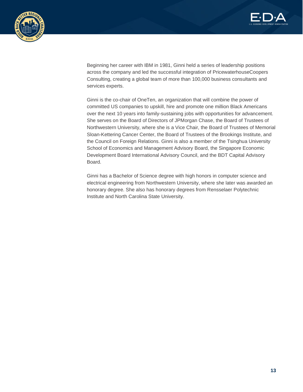



Beginning her career with IBM in 1981, Ginni held a series of leadership positions across the company and led the successful integration of PricewaterhouseCoopers Consulting, creating a global team of more than 100,000 business consultants and services experts.

Ginni is the co-chair of OneTen, an organization that will combine the power of committed US companies to upskill, hire and promote one million Black Americans over the next 10 years into family-sustaining jobs with opportunities for advancement. She serves on the Board of Directors of JPMorgan Chase, the Board of Trustees of Northwestern University, where she is a Vice Chair, the Board of Trustees of Memorial Sloan-Kettering Cancer Center, the Board of Trustees of the Brookings Institute, and the Council on Foreign Relations. Ginni is also a member of the Tsinghua University School of Economics and Management Advisory Board, the Singapore Economic Development Board International Advisory Council, and the BDT Capital Advisory Board.

Ginni has a Bachelor of Science degree with high honors in computer science and electrical engineering from Northwestern University, where she later was awarded an honorary degree. She also has honorary degrees from Rensselaer Polytechnic Institute and North Carolina State University.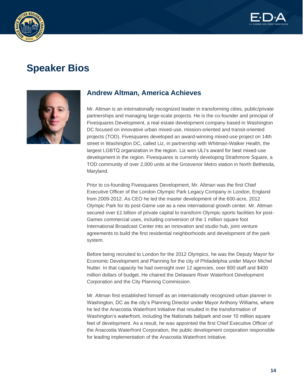



## **Speaker Bios**



#### **Andrew Altman, America Achieves**

Mr. Altman is an internationally recognized leader in transforming cities, public/private partnerships and managing large-scale projects. He is the co-founder and principal of Fivesquares Development, a real estate development company based in Washington DC focused on innovative urban mixed-use, mission-oriented and transit-oriented projects (TOD). Fivesquares developed an award-winning mixed-use project on 14th street in Washington DC, called Liz, in partnership with Whitman-Walker Health, the largest LGBTQ organization in the region. Liz won ULI's award for best mixed-use development in the region. Fivesquares is currently developing Strathmore Square, a TOD community of over 2,000 units at the Grosvenor Metro station in North Bethesda, Maryland.

Prior to co-founding Fivesquares Development, Mr. Altman was the first Chief Executive Officer of the London Olympic Park Legacy Company in London, England from 2009-2012. As CEO he led the master development of the 600-acre, 2012 Olympic Park for its post-Game use as a new international growth center. Mr. Altman secured over £1 billion of private capital to transform Olympic sports facilities for post-Games commercial uses, including conversion of the 1 million square foot International Broadcast Center into an innovation and studio hub, joint venture agreements to build the first residential neighborhoods and development of the park system.

Before being recruited to London for the 2012 Olympics, he was the Deputy Mayor for Economic Development and Planning for the city of Philadelphia under Mayor Michel Nutter. In that capacity he had oversight over 12 agencies, over 800 staff and \$400 million dollars of budget. He chaired the Delaware River Waterfront Development Corporation and the City Planning Commission.

Mr. Altman first established himself as an internationally recognized urban planner in Washington, DC as the city's Planning Director under Mayor Anthony Williams, where he led the Anacostia Waterfront Initiative that resulted in the transformation of Washington's waterfront, including the Nationals ballpark and over 10 million square feet of development. As a result, he was appointed the first Chief Executive Officer of the Anacostia Waterfront Corporation, the public development corporation responsible for leading implementation of the Anacostia Waterfront Initiative.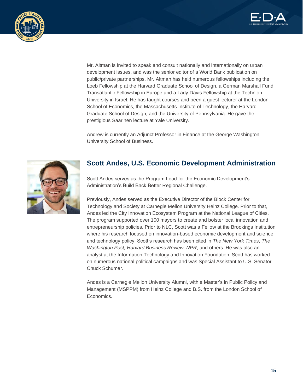



Mr. Altman is invited to speak and consult nationally and internationally on urban development issues, and was the senior editor of a World Bank publication on public/private partnerships. Mr. Altman has held numerous fellowships including the Loeb Fellowship at the Harvard Graduate School of Design, a German Marshall Fund Transatlantic Fellowship in Europe and a Lady Davis Fellowship at the Technion University in Israel. He has taught courses and been a guest lecturer at the London School of Economics, the Massachusetts Institute of Technology, the Harvard Graduate School of Design, and the University of Pennsylvania. He gave the prestigious Saarinen lecture at Yale University.

Andrew is currently an Adjunct Professor in Finance at the George Washington University School of Business.



### **Scott Andes, U.S. Economic Development Administration**

Scott Andes serves as the Program Lead for the Economic Development's Administration's Build Back Better Regional Challenge.

Previously, Andes served as the Executive Director of the Block Center for Technology and Society at Carnegie Mellon University Heinz College. Prior to that, Andes led the City Innovation Ecosystem Program at the National League of Cities. The program supported over 100 mayors to create and bolster local innovation and entrepreneurship policies. Prior to NLC, Scott was a Fellow at the Brookings Institution where his research focused on innovation-based economic development and science and technology policy. Scott's research has been cited in *The New York Times, The Washington Post, Harvard Business Review, NPR*, and others. He was also an analyst at the Information Technology and Innovation Foundation. Scott has worked on numerous national political campaigns and was Special Assistant to U.S. Senator Chuck Schumer.

Andes is a Carnegie Mellon University Alumni, with a Master's in Public Policy and Management (MSPPM) from Heinz College and B.S. from the London School of Economics.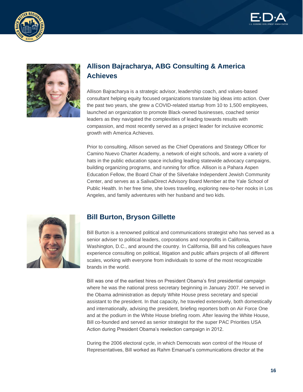





## **Allison Bajracharya, ABG Consulting & America Achieves**

Allison Bajracharya is a strategic advisor, leadership coach, and values-based consultant helping equity focused organizations translate big ideas into action. Over the past two years, she grew a COVID-related startup from 10 to 1,500 employees, launched an organization to promote Black-owned businesses, coached senior leaders as they navigated the complexities of leading towards results with compassion, and most recently served as a project leader for inclusive economic growth with America Achieves.

Prior to consulting, Allison served as the Chief Operations and Strategy Officer for Camino Nuevo Charter Academy, a network of eight schools, and wore a variety of hats in the public education space including leading statewide advocacy campaigns, building organizing programs, and running for office. Allison is a Pahara Aspen Education Fellow, the Board Chair of the Silverlake Independent Jewish Community Center, and serves as a SalivaDirect Advisory Board Member at the Yale School of Public Health. In her free time, she loves traveling, exploring new-to-her nooks in Los Angeles, and family adventures with her husband and two kids.



#### **Bill Burton, Bryson Gillette**

Bill Burton is a renowned political and communications strategist who has served as a senior adviser to political leaders, corporations and nonprofits in California, Washington, D.C., and around the country. In California, Bill and his colleagues have experience consulting on political, litigation and public affairs projects of all different scales, working with everyone from individuals to some of the most recognizable brands in the world.

Bill was one of the earliest hires on President Obama's first presidential campaign where he was the national press secretary beginning in January 2007. He served in the Obama administration as deputy White House press secretary and special assistant to the president. In that capacity, he traveled extensively, both domestically and internationally, advising the president, briefing reporters both on Air Force One and at the podium in the White House briefing room. After leaving the White House, Bill co-founded and served as senior strategist for the super PAC Priorities USA Action during President Obama's reelection campaign in 2012.

During the 2006 electoral cycle, in which Democrats won control of the House of Representatives, Bill worked as Rahm Emanuel's communications director at the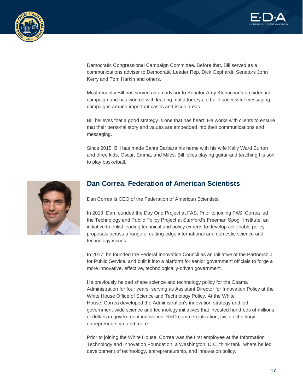



Democratic Congressional Campaign Committee. Before that, Bill served as a communications adviser to Democratic Leader Rep. Dick Gephardt, Senators John Kerry and Tom Harkin and others.

Most recently Bill has served as an advisor to Senator Amy Klobuchar's presidential campaign and has worked with leading trial attorneys to build successful messaging campaigns around important cases and issue areas.

Bill believes that a good strategy is one that has heart. He works with clients to ensure that their personal story and values are embedded into their communications and messaging.

Since 2015, Bill has made Santa Barbara his home with his wife Kelly Ward Burton and three kids, Oscar, Emma, and Miles. Bill loves playing guitar and teaching his son to play basketball.



### **Dan Correa, Federation of American Scientists**

Dan Correa is CEO of the Federation of American Scientists.

In 2019, Dan founded the Day One Project at FAS. Prior to joining FAS, Correa led the Technology and Public Policy Project at Stanford's Freeman Spogli Institute, an initiative to enlist leading technical and policy experts to develop actionable policy proposals across a range of cutting-edge international and domestic science and technology issues.

In 2017, he founded the Federal Innovation Council as an initiative of the Partnership for Public Service, and built it into a platform for senior government officials to forge a more innovative, effective, technologically-driven government.

He previously helped shape science and technology policy for the Obama Administration for four years, serving as Assistant Director for Innovation Policy at the White House Office of Science and Technology Policy. At the White House, Correa developed the Administration's innovation strategy and led government-wide science and technology initiatives that invested hundreds of millions of dollars in government innovation, R&D commercialization, civic technology, entrepreneurship, and more.

Prior to joining the White House, Correa was the first employee at the Information Technology and Innovation Foundation, a Washington, D.C. think tank, where he led development of technology, entrepreneurship, and innovation policy.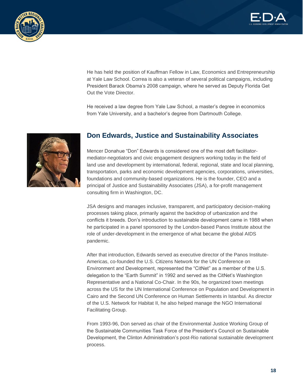



He has held the position of Kauffman Fellow in Law, Economics and Entrepreneurship at Yale Law School. Correa is also a veteran of several political campaigns, including President Barack Obama's 2008 campaign, where he served as Deputy Florida Get Out the Vote Director.

He received a law degree from Yale Law School, a master's degree in economics from Yale University, and a bachelor's degree from Dartmouth College.



#### **Don Edwards, Justice and Sustainability Associates**

Mencer Donahue "Don" Edwards is considered one of the most deft facilitatormediator-negotiators and civic engagement designers working today in the field of land use and development by international, federal, regional, state and local planning, transportation, parks and economic development agencies, corporations, universities, foundations and community-based organizations. He is the founder, CEO and a principal of Justice and Sustainability Associates (JSA), a for-profit management consulting firm in Washington, DC.

JSA designs and manages inclusive, transparent, and participatory decision-making processes taking place, primarily against the backdrop of urbanization and the conflicts it breeds. Don's introduction to sustainable development came in 1988 when he participated in a panel sponsored by the London-based Panos Institute about the role of under-development in the emergence of what became the global AIDS pandemic.

After that introduction, Edwards served as executive director of the Panos Institute-Americas, co-founded the U.S. Citizens Network for the UN Conference on Environment and Development, represented the "CitNet" as a member of the U.S. delegation to the "Earth Summit" in 1992 and served as the CitNet's Washington Representative and a National Co-Chair. In the 90s, he organized town meetings across the US for the UN International Conference on Population and Development in Cairo and the Second UN Conference on Human Settlements in Istanbul. As director of the U.S. Network for Habitat II, he also helped manage the NGO International Facilitating Group.

From 1993-96, Don served as chair of the Environmental Justice Working Group of the Sustainable Communities Task Force of the President's Council on Sustainable Development, the Clinton Administration's post-Rio national sustainable development process.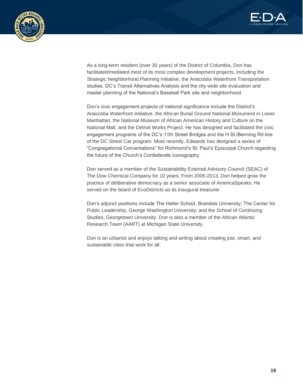



As a long-term resident (over 30 years) of the District of Columbia, Don has facilitated/mediated most of its most complex development projects, including the Strategic Neighborhood Planning Initiative, the Anacostia Waterfront Transportation studies, DC's Transit Alternatives Analysis and the city-wide site evaluation and master planning of the National's Baseball Park site and neighborhood.

Don's civic engagement projects of national significance include the District's Anacostia Waterfront Initiative, the African Burial Ground National Monument in Lower Manhattan, the National Museum of African American History and Culture on the National Mall, and the Detroit Works Project. He has designed and facilitated the civic engagement programs of the DC's 11th Street Bridges and the H St./Benning Rd line of the DC Street Car program. Most recently, Edwards has designed a series of "Congregational Conversations" for Richmond's St. Paul's Episcopal Church regarding the future of the Church's Confederate iconography.

Don served as a member of the Sustainability External Advisory Council (SEAC) of The Dow Chemical Company for 10 years. From 2005-2013, Don helped grow the practice of deliberative democracy as a senior associate of AmericaSpeaks. He served on the board of EcoDistricts as its inaugural treasurer.

Don's adjunct positions include The Heller School, Brandeis University; The Center for Public Leadership, George Washington University; and the School of Continuing Studies, Georgetown University. Don is also a member of the African Atlantic Research Team (AART) at Michigan State University.

Don is an urbanist and enjoys talking and writing about creating just, smart, and sustainable cities that work for all.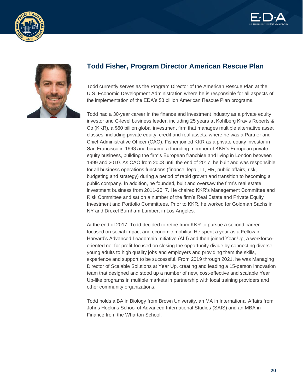





#### **Todd Fisher, Program Director American Rescue Plan**

Todd currently serves as the Program Director of the American Rescue Plan at the U.S. Economic Development Administration where he is responsible for all aspects of the implementation of the EDA's \$3 billion American Rescue Plan programs.

Todd had a 30-year career in the finance and investment industry as a private equity investor and C-level business leader, including 25 years at Kohlberg Kravis Roberts & Co (KKR), a \$60 billion global investment firm that manages multiple alternative asset classes, including private equity, credit and real assets, where he was a Partner and Chief Administrative Officer (CAO). Fisher joined KKR as a private equity investor in San Francisco in 1993 and became a founding member of KKR's European private equity business, building the firm's European franchise and living in London between 1999 and 2010. As CAO from 2008 until the end of 2017, he built and was responsible for all business operations functions (finance, legal, IT, HR, public affairs, risk, budgeting and strategy) during a period of rapid growth and transition to becoming a public company. In addition, he founded, built and oversaw the firm's real estate investment business from 2011-2017. He chaired KKR's Management Committee and Risk Committee and sat on a number of the firm's Real Estate and Private Equity Investment and Portfolio Committees. Prior to KKR, he worked for Goldman Sachs in NY and Drexel Burnham Lambert in Los Angeles.

At the end of 2017, Todd decided to retire from KKR to pursue a second career focused on social impact and economic mobility. He spent a year as a Fellow in Harvard's Advanced Leadership Initiative (ALI) and then joined Year Up, a workforceoriented not for profit focused on closing the opportunity divide by connecting diverse young adults to high quality jobs and employers and providing them the skills, experience and support to be successful. From 2019 through 2021, he was Managing Director of Scalable Solutions at Year Up, creating and leading a 15-person innovation team that designed and stood up a number of new, cost-effective and scalable Year Up-like programs in multiple markets in partnership with local training providers and other community organizations.

Todd holds a BA in Biology from Brown University, an MA in International Affairs from Johns Hopkins School of Advanced International Studies (SAIS) and an MBA in Finance from the Wharton School.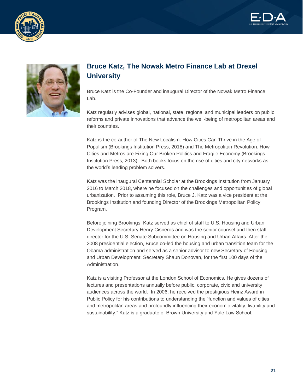





## **Bruce Katz, The Nowak Metro Finance Lab at Drexel University**

Bruce Katz is the Co-Founder and inaugural Director of the Nowak Metro Finance Lab.

Katz regularly advises global, national, state, regional and municipal leaders on public reforms and private innovations that advance the well-being of metropolitan areas and their countries.

Katz is the co-author of The New Localism: How Cities Can Thrive in the Age of Populism (Brookings Institution Press, 2018) and The Metropolitan Revolution: How Cities and Metros are Fixing Our Broken Politics and Fragile Economy (Brookings Institution Press, 2013). Both books focus on the rise of cities and city networks as the world's leading problem solvers.

Katz was the inaugural Centennial Scholar at the Brookings Institution from January 2016 to March 2018, where he focused on the challenges and opportunities of global urbanization. Prior to assuming this role, Bruce J. Katz was a vice president at the Brookings Institution and founding Director of the Brookings Metropolitan Policy Program.

Before joining Brookings, Katz served as chief of staff to U.S. Housing and Urban Development Secretary Henry Cisneros and was the senior counsel and then staff director for the U.S. Senate Subcommittee on Housing and Urban Affairs. After the 2008 presidential election, Bruce co-led the housing and urban transition team for the Obama administration and served as a senior advisor to new Secretary of Housing and Urban Development, Secretary Shaun Donovan, for the first 100 days of the Administration.

Katz is a visiting Professor at the London School of Economics. He gives dozens of lectures and presentations annually before public, corporate, civic and university audiences across the world. In 2006, he received the prestigious Heinz Award in Public Policy for his contributions to understanding the "function and values of cities and metropolitan areas and profoundly influencing their economic vitality, livability and sustainability." Katz is a graduate of Brown University and Yale Law School.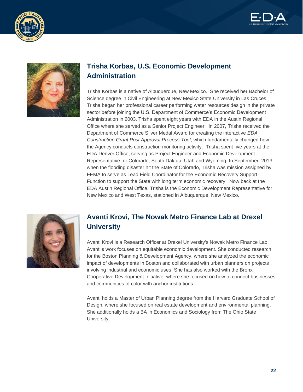





## **Trisha Korbas, U.S. Economic Development Administration**

Trisha Korbas is a native of Albuquerque, New Mexico. She received her Bachelor of Science degree in Civil Engineering at New Mexico State University in Las Cruces. Trisha began her professional career performing water resources design in the private sector before joining the U.S. Department of Commerce's Economic Development Administration in 2003. Trisha spent eight years with EDA in the Austin Regional Office where she served as a Senior Project Engineer. In 2007, Trisha received the Department of Commerce Silver Medal Award for creating the interactive *EDA Construction Grant Post Approval Process Tool*, which fundamentally changed how the Agency conducts construction monitoring activity. Trisha spent five years at the EDA Denver Office, serving as Project Engineer and Economic Development Representative for Colorado, South Dakota, Utah and Wyoming. In September, 2013, when the flooding disaster hit the State of Colorado, Trisha was mission assigned by FEMA to serve as Lead Field Coordinator for the Economic Recovery Support Function to support the State with long term economic recovery. Now back at the EDA Austin Regional Office, Trisha is the Economic Development Representative for New Mexico and West Texas, stationed in Albuquerque, New Mexico.



## **Avanti Krovi, The Nowak Metro Finance Lab at Drexel University**

Avanti Krovi is a Research Officer at Drexel University's Nowak Metro Finance Lab. Avanti's work focuses on equitable economic development. She conducted research for the Boston Planning & Development Agency, where she analyzed the economic impact of developments in Boston and collaborated with urban planners on projects involving industrial and economic uses. She has also worked with the Bronx Cooperative Development Initiative, where she focused on how to connect businesses and communities of color with anchor institutions.

Avanti holds a Master of Urban Planning degree from the Harvard Graduate School of Design, where she focused on real estate development and environmental planning. She additionally holds a BA in Economics and Sociology from The Ohio State University.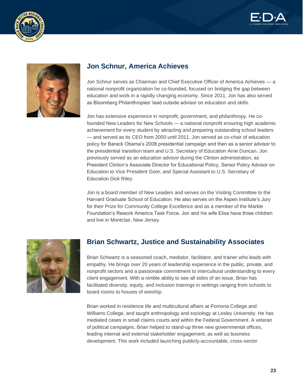





#### **Jon Schnur, America Achieves**

Jon Schnur serves as Chairman and Chief Executive Officer of America Achieves — a national nonprofit organization he co-founded, focused on bridging the gap between education and work in a rapidly changing economy. Since 2011, Jon has also served as Bloomberg Philanthropies' lead outside advisor on education and skills.

Jon has extensive experience in nonprofit, government, and philanthropy. He cofounded New Leaders for New Schools — a national nonprofit ensuring high academic achievement for every student by attracting and preparing outstanding school leaders — and served as its CEO from 2000 until 2011. Jon served as co-chair of education policy for Barack Obama's 2008 presidential campaign and then as a senior advisor to the presidential transition team and U.S. Secretary of Education Arne Duncan. Jon previously served as an education advisor during the Clinton administration, as President Clinton's Associate Director for Educational Policy, Senior Policy Advisor on Education to Vice President Gore, and Special Assistant to U.S. Secretary of Education Dick Riley.

Jon is a board member of New Leaders and serves on the Visiting Committee to the Harvard Graduate School of Education. He also serves on the Aspen Institute's Jury for their Prize for Community College Excellence and as a member of the Markle Foundation's Rework America Task Force. Jon and his wife Elisa have three children and live in Montclair, New Jersey.



#### **Brian Schwartz, Justice and Sustainability Associates**

Brian Schwartz is a seasoned coach, mediator, facilitator, and trainer who leads with empathy. He brings over 20 years of leadership experience in the public, private, and nonprofit sectors and a passionate commitment to intercultural understanding to every client engagement. With a nimble ability to see all sides of an issue, Brian has facilitated diversity, equity, and inclusion trainings in settings ranging from schools to board rooms to houses of worship.

Brian worked in residence life and multicultural affairs at Pomona College and Williams College, and taught anthropology and sociology at Lesley University. He has mediated cases in small claims courts and within the Federal Government. A veteran of political campaigns, Brian helped to stand-up three new governmental offices, leading internal and external stakeholder engagement, as well as business development. This work included launching publicly-accountable, cross-sector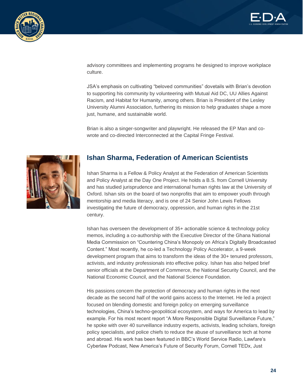



advisory committees and implementing programs he designed to improve workplace culture.

JSA's emphasis on cultivating "beloved communities" dovetails with Brian's devotion to supporting his community by volunteering with Mutual Aid DC, UU Allies Against Racism, and Habitat for Humanity, among others. Brian is President of the Lesley University Alumni Association, furthering its mission to help graduates shape a more just, humane, and sustainable world.

Brian is also a singer-songwriter and playwright. He released the EP Man and cowrote and co-directed Interconnected at the Capital Fringe Festival.



#### **Ishan Sharma, Federation of American Scientists**

Ishan Sharma is a Fellow & Policy Analyst at the Federation of American Scientists and Policy Analyst at the Day One Project. He holds a B.S. from Cornell University and has studied jurisprudence and international human rights law at the University of Oxford. Ishan sits on the board of two nonprofits that aim to empower youth through mentorship and media literacy, and is one of 24 Senior John Lewis Fellows investigating the future of democracy, oppression, and human rights in the 21st century.

Ishan has overseen the development of 35+ actionable science & technology policy memos, including a co-authorship with the Executive Director of the Ghana National Media Commission on "Countering China's Monopoly on Africa's Digitally Broadcasted Content." Most recently, he co-led a Technology Policy Accelerator, a 9-week development program that aims to transform the ideas of the 30+ tenured professors, activists, and industry professionals into effective policy. Ishan has also helped brief senior officials at the Department of Commerce, the National Security Council, and the National Economic Council, and the National Science Foundation.

His passions concern the protection of democracy and human rights in the next decade as the second half of the world gains access to the Internet. He led a project focused on blending domestic and foreign policy on emerging surveillance technologies, China's techno-geopolitical ecosystem, and ways for America to lead by example. For his most recent report "A More Responsible Digital Surveillance Future," he spoke with over 40 surveillance industry experts, activists, leading scholars, foreign policy specialists, and police chiefs to reduce the abuse of surveillance tech at home and abroad. His work has been featured in BBC's World Service Radio, Lawfare's Cyberlaw Podcast, New America's Future of Security Forum, Cornell TEDx, Just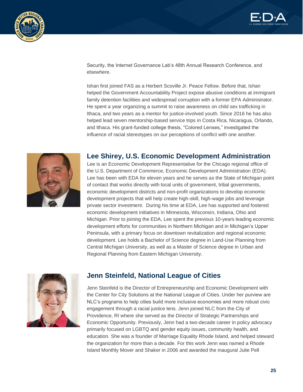



Security, the Internet Governance Lab's 48th Annual Research Conference, and elsewhere.

Ishan first joined FAS as a Herbert Scoville Jr. Peace Fellow. Before that, Ishan helped the Government Accountability Project expose abusive conditions at immigrant family detention facilities and widespread corruption with a former EPA Administrator. He spent a year organizing a summit to raise awareness on child sex trafficking in Ithaca, and two years as a mentor for justice-involved youth. Since 2016 he has also helped lead seven mentorship-based service trips in Costa Rica, Nicaragua, Orlando, and Ithaca. His grant-funded college thesis, "Colored Lenses," investigated the influence of racial stereotypes on our perceptions of conflict with one another.



#### **Lee Shirey, U.S. Economic Development Administration**

Lee is an Economic Development Representative for the Chicago regional office of the U.S. Department of Commerce, Economic Development Administration (EDA). Lee has been with EDA for eleven years and he serves as the State of Michigan point of contact that works directly with local units of government, tribal governments, economic development districts and non-profit organizations to develop economic development projects that will help create high-skill, high-wage jobs and leverage private sector investment. During his time at EDA, Lee has supported and fostered economic development initiatives in Minnesota, Wisconsin, Indiana, Ohio and Michigan. Prior to joining the EDA, Lee spent the previous 10-years leading economic development efforts for communities in Northern Michigan and in Michigan's Upper Peninsula, with a primary focus on downtown revitalization and regional economic development. Lee holds a Bachelor of Science degree in Land-Use Planning from Central Michigan University, as well as a Master of Science degree in Urban and Regional Planning from Eastern Michigan University.



### **Jenn Steinfeld, National League of Cities**

Jenn Steinfeld is the Director of Entrepreneurship and Economic Development with the Center for City Solutions at the National League of Cities. Under her purview are NLC's programs to help cities build more inclusive economies and more robust civic engagement through a racial justice lens. Jenn joined NLC from the City of Providence, RI where she served as the Director of Strategic Partnerships and Economic Opportunity. Previously, Jenn had a two-decade career in policy advocacy primarily focused on LGBTQ and gender equity issues, community health, and education. She was a founder of Marriage Equality Rhode Island, and helped steward the organization for more than a decade. For this work Jenn was named a Rhode Island Monthly Mover and Shaker in 2006 and awarded the inaugural Julie Pell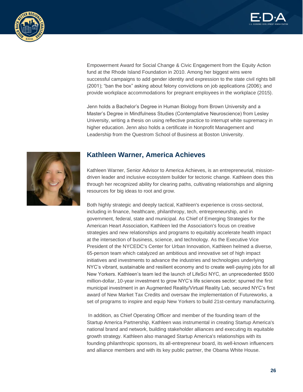



Empowerment Award for Social Change & Civic Engagement from the Equity Action fund at the Rhode Island Foundation in 2010. Among her biggest wins were successful campaigns to add gender identity and expression to the state civil rights bill (2001); "ban the box" asking about felony convictions on job applications (2006); and provide workplace accommodations for pregnant employees in the workplace (2015).

Jenn holds a Bachelor's Degree in Human Biology from Brown University and a Master's Degree in Mindfulness Studies (Contemplative Neuroscience) from Lesley University, writing a thesis on using reflective practice to interrupt white supremacy in higher education. Jenn also holds a certificate in Nonprofit Management and Leadership from the Questrom School of Business at Boston University.



#### **Kathleen Warner, America Achieves**

Kathleen Warner, Senior Advisor to America Achieves, is an entrepreneurial, missiondriven leader and inclusive ecosystem builder for tectonic change. Kathleen does this through her recognized ability for clearing paths, cultivating relationships and aligning resources for big ideas to root and grow.

Both highly strategic and deeply tactical, Kathleen's experience is cross-sectoral, including in finance, healthcare, philanthropy, tech, entrepreneurship, and in government, federal, state and municipal. As Chief of Emerging Strategies for the American Heart Association, Kathleen led the Association's focus on creative strategies and new relationships and programs to equitably accelerate health impact at the intersection of business, science, and technology. As the Executive Vice President of the NYCEDC's Center for Urban Innovation, Kathleen helmed a diverse, 65-person team which catalyzed an ambitious and innovative set of high impact initiatives and investments to advance the industries and technologies underlying NYC's vibrant, sustainable and resilient economy and to create well-paying jobs for all New Yorkers. Kathleen's team led the launch of LifeSci NYC, an unprecedented \$500 million-dollar, 10-year investment to grow NYC's life sciences sector; spurred the first municipal investment in an Augmented Reality/Virtual Reality Lab, secured NYC's first award of New Market Tax Credits and oversaw the implementation of Futureworks, a set of programs to inspire and equip New Yorkers to build 21st-century manufacturing.

In addition, as Chief Operating Officer and member of the founding team of the Startup America Partnership, Kathleen was instrumental in creating Startup America's national brand and network, building stakeholder alliances and executing its equitable growth strategy. Kathleen also managed Startup America's relationships with its founding philanthropic sponsors, its all-entrepreneur board, its well-known influencers and alliance members and with its key public partner, the Obama White House.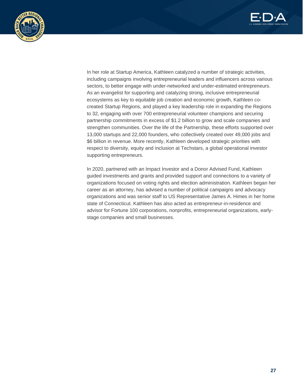



In her role at Startup America, Kathleen catalyzed a number of strategic activities, including campaigns involving entrepreneurial leaders and influencers across various sectors, to better engage with under-networked and under-estimated entrepreneurs. As an evangelist for supporting and catalyzing strong, inclusive entrepreneurial ecosystems as key to equitable job creation and economic growth, Kathleen cocreated Startup Regions, and played a key leadership role in expanding the Regions to 32, engaging with over 700 entrepreneurial volunteer champions and securing partnership commitments in excess of \$1.2 billion to grow and scale companies and strengthen communities. Over the life of the Partnership, these efforts supported over 13,000 startups and 22,000 founders, who collectively created over 49,000 jobs and \$6 billion in revenue. More recently, Kathleen developed strategic priorities with respect to diversity, equity and inclusion at Techstars, a global operational investor supporting entrepreneurs.

In 2020, partnered with an Impact Investor and a Donor Advised Fund, Kathleen guided investments and grants and provided support and connections to a variety of organizations focused on voting rights and election administration. Kathleen began her career as an attorney, has advised a number of political campaigns and advocacy organizations and was senior staff to US Representative James A. Himes in her home state of Connecticut. Kathleen has also acted as entrepreneur-in-residence and advisor for Fortune 100 corporations, nonprofits, entrepreneurial organizations, earlystage companies and small businesses.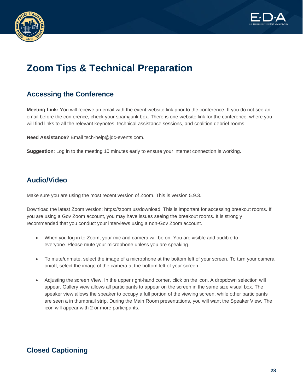



## **Zoom Tips & Technical Preparation**

## **Accessing the Conference**

**Meeting Link:** You will receive an email with the event website link prior to the conference. If you do not see an email before the conference, check your spam/junk box. There is one website link for the conference, where you will find links to all the relevant keynotes, technical assistance sessions, and coalition debrief rooms.

**Need Assistance?** Email tech-help@jdc-events.com.

**Suggestion**: Log in to the meeting 10 minutes early to ensure your internet connection is working.

### **Audio/Video**

Make sure you are using the most recent version of Zoom. This is version 5.9.3.

Download the latest Zoom version:<https://zoom.us/download> This is important for accessing breakout rooms. If you are using a Gov Zoom account, you may have issues seeing the breakout rooms. It is strongly recommended that you conduct your interviews using a non-Gov Zoom account.

- When you log in to Zoom, your mic and camera will be on. You are visible and audible to everyone. Please mute your microphone unless you are speaking.
- To mute/unmute, select the image of a microphone at the bottom left of your screen. To turn your camera on/off, select the image of the camera at the bottom left of your screen.
- Adjusting the screen View. In the upper right-hand corner, click on the icon. A dropdown selection will appear. Gallery view allows all participants to appear on the screen in the same size visual box. The speaker view allows the speaker to occupy a full portion of the viewing screen, while other participants are seen a in thumbnail strip. During the Main Room presentations, you will want the Speaker View. The icon will appear with 2 or more participants.

## **Closed Captioning**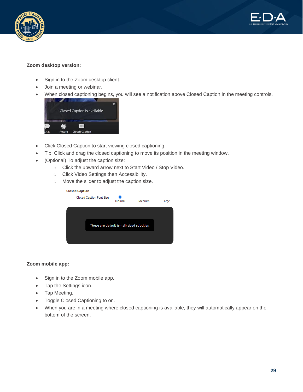



#### **Zoom desktop version:**

- Sign in to the Zoom desktop client.
- Join a meeting or webinar.
- When closed captioning begins, you will see a notification above Closed Caption in the meeting controls.



- Click Closed Caption to start viewing closed captioning.
- Tip: Click and drag the closed captioning to move its position in the meeting window.
- (Optional) To adjust the caption size:
	- o Click the upward arrow next to Start Video / Stop Video.
	- o Click Video Settings then Accessibility.
	- o Move the slider to adjust the caption size.

| <b>Closed Caption</b> |                                            |        |        |       |  |  |
|-----------------------|--------------------------------------------|--------|--------|-------|--|--|
|                       | <b>Closed Caption Font Size:</b>           | Normal | Medium | Large |  |  |
|                       |                                            |        |        |       |  |  |
|                       | These are default (small) sized subtitles. |        |        |       |  |  |
|                       |                                            |        |        |       |  |  |

#### **Zoom mobile app:**

- Sign in to the Zoom mobile app.
- Tap the Settings icon.
- Tap Meeting.
- Toggle Closed Captioning to on.
- When you are in a meeting where closed captioning is available, they will automatically appear on the bottom of the screen.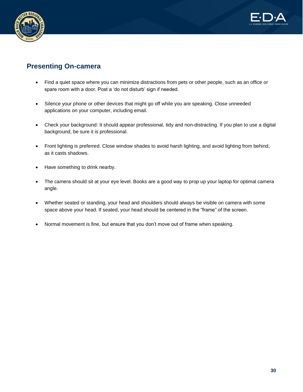



#### **Presenting On-camera**

- Find a quiet space where you can minimize distractions from pets or other people, such as an office or spare room with a door. Post a 'do not disturb' sign if needed.
- Silence your phone or other devices that might go off while you are speaking. Close unneeded applications on your computer, including email.
- Check your background: It should appear professional, tidy and non-distracting. If you plan to use a digital background, be sure it is professional.
- Front lighting is preferred. Close window shades to avoid harsh lighting, and avoid lighting from behind, as it casts shadows.
- Have something to drink nearby.
- The camera should sit at your eye level. Books are a good way to prop up your laptop for optimal camera angle.
- Whether seated or standing, your head and shoulders should always be visible on camera with some space above your head. If seated, your head should be centered in the "frame" of the screen.
- Normal movement is fine, but ensure that you don't move out of frame when speaking.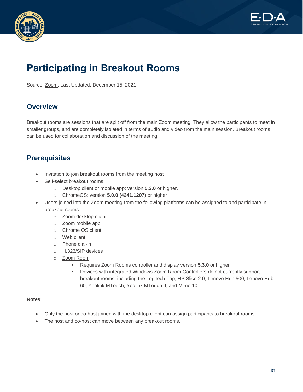



## **Participating in Breakout Rooms**

Source: [Zoom.](https://support.zoom.us/hc/en-us/articles/115005769646-Participating-in-breakout-rooms) Last Updated: December 15, 2021

#### **Overview**

Breakout rooms are sessions that are split off from the main Zoom meeting. They allow the participants to meet in smaller groups, and are completely isolated in terms of audio and video from the main session. Breakout rooms can be used for collaboration and discussion of the meeting.

### **Prerequisites**

- Invitation to join breakout rooms from the meeting host
- Self-select breakout rooms:
	- o Desktop client or mobile app: version **5.3.0** or higher.
	- o ChromeOS: version **5.0.0 (4241.1207)** or higher
- Users joined into the Zoom meeting from the following platforms can be assigned to and participate in breakout rooms:
	- o Zoom desktop client
	- o Zoom mobile app
	- o Chrome OS client
	- o Web client
	- o Phone dial-in
	- o H.323/SIP devices
	- o [Zoom Room](https://support.zoom.us/hc/en-us/articles/360021921032#h_01EQH6MRZP5HBQEZ5RDZ8RK1P7)
		- Requires Zoom Rooms controller and display version **5.3.0** or higher
		- Devices with integrated Windows Zoom Room Controllers do not currently support breakout rooms, including the Logitech Tap, HP Slice 2.0, Lenovo Hub 500, Lenovo Hub 60, Yealink MTouch, Yealink MTouch II, and Mimo 10.

#### **Notes**:

- Only the [host or co-host](https://support.zoom.us/hc/en-us/articles/360040324512) joined with the desktop client can assign participants to breakout rooms.
- The host and [co-host](https://support.zoom.us/hc/en-us/articles/360040324512) can move between any breakout rooms.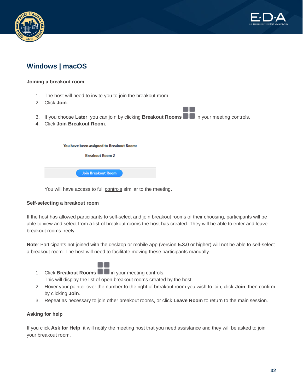



## **Windows | macOS**

#### **Joining a breakout room**

- 1. The host will need to invite you to join the breakout room.
- 2. Click **Join**.
- 3. If you choose Later, you can join by clicking **Breakout Rooms** in your meeting controls.
- 4. Click **Join Breakout Room**.

| You have been assigned to Breakout Room: |  |
|------------------------------------------|--|
| <b>Breakout Room 2</b>                   |  |
|                                          |  |
| <b>Join Breakout Room</b>                |  |

You will have access to full [controls](https://support.zoom.us/hc/en-us/articles/200941109) similar to the meeting.

#### **Self-selecting a breakout room**

If the host has allowed participants to self-select and join breakout rooms of their choosing, participants will be able to view and select from a list of breakout rooms the host has created. They will be able to enter and leave breakout rooms freely.

**Note**: Participants not joined with the desktop or mobile app (version **5.3.0** or higher) will not be able to self-select a breakout room. The host will need to facilitate moving these participants manually.

1. Click **Breakout Rooms** in your meeting controls.

. .

This will display the list of open breakout rooms created by the host.

- 2. Hover your pointer over the number to the right of breakout room you wish to join, click **Join**, then confirm by clicking **Join**.
- 3. Repeat as necessary to join other breakout rooms, or click **Leave Room** to return to the main session.

#### **Asking for help**

If you click **Ask for Help**, it will notify the meeting host that you need assistance and they will be asked to join your breakout room.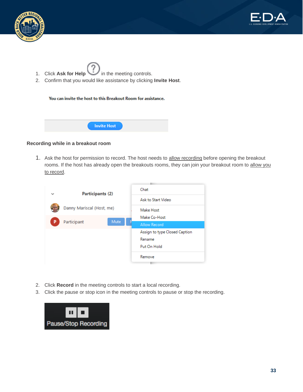



- 1. Click Ask for Help in the meeting controls.
- 2. Confirm that you would like assistance by clicking **Invite Host**.

You can invite the host to this Breakout Room for assistance.



#### **Recording while in a breakout room**

1. Ask the host for permission to record. The host needs to [allow recording](https://support.zoom.us/hc/en-us/articles/201362473-Local-Recording) before opening the breakout rooms. If the host has already open the breakouts rooms, they can join your breakout room to allow you [to record.](https://support.zoom.us/hc/en-us/articles/201362473-Local-Recording)



- 2. Click **Record** in the meeting controls to start a local recording.
- 3. Click the pause or stop icon in the meeting controls to pause or stop the recording.